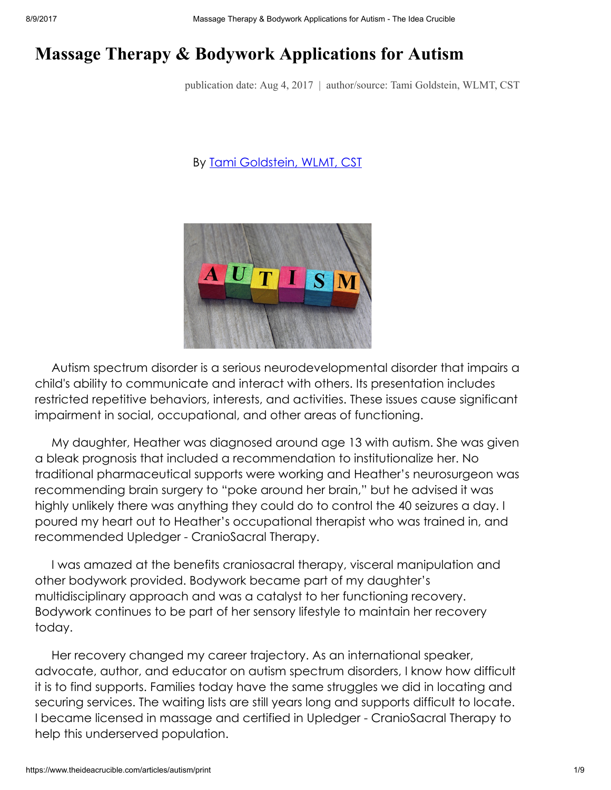# Massage Therapy & Bodywork Applications for Autism

publication date: Aug 4, 2017 | author/source: Tami Goldstein, WLMT, CST

#### By Tami [Goldstein,](https://www.theideacrucible.com/articles/tami) WLMT, CST



Autism spectrum disorder is a serious neurodevelopmental disorder that impairs a child's ability to communicate and interact with others. Its presentation includes restricted repetitive behaviors, interests, and activities. These issues cause significant impairment in social, occupational, and other areas of functioning.

My daughter, Heather was diagnosed around age 13 with autism. She was given a bleak prognosis that included a recommendation to institutionalize her. No traditional pharmaceutical supports were working and Heather's neurosurgeon was recommending brain surgery to "poke around her brain," but he advised it was highly unlikely there was anything they could do to control the 40 seizures a day. I poured my heart out to Heather's occupational therapist who was trained in, and recommended Upledger - CranioSacral Therapy.

I was amazed at the benefits craniosacral therapy, visceral manipulation and other bodywork provided. Bodywork became part of my daughter's multidisciplinary approach and was a catalyst to her functioning recovery. Bodywork continues to be part of her sensory lifestyle to maintain her recovery today.

Her recovery changed my career trajectory. As an international speaker, advocate, author, and educator on autism spectrum disorders, I know how difficult it is to find supports. Families today have the same struggles we did in locating and securing services. The waiting lists are still years long and supports difficult to locate. I became licensed in massage and certified in Upledger - CranioSacral Therapy to help this underserved population.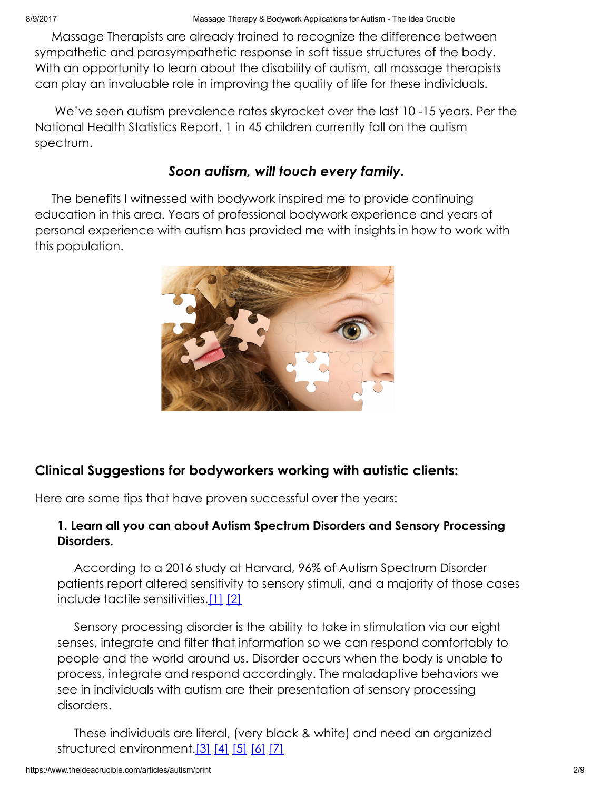Massage Therapists are already trained to recognize the difference between sympathetic and parasympathetic response in soft tissue structures of the body. With an opportunity to learn about the disability of autism, all massage therapists can play an invaluable role in improving the quality of life for these individuals.

We've seen autism prevalence rates skyrocket over the last 10 -15 years. Per the National Health Statistics Report, 1 in 45 children currently fall on the autism spectrum.

# Soon autism, will touch every family.

The benefits I witnessed with bodywork inspired me to provide continuing education in this area. Years of professional bodywork experience and years of personal experience with autism has provided me with insights in how to work with this population.



# Clinical Suggestions for bodyworkers working with autistic clients:

Here are some tips that have proven successful over the years:

### 1. Learn all you can about Autism Spectrum Disorders and Sensory Processing Disorders.

According to a 2016 study at Harvard, 96% of Autism Spectrum Disorder patients report altered sensitivity to sensory stimuli, and a majority of those cases include tactile sensitivities.[\[1\]](#page-7-0) [\[2\]](#page-7-1)

<span id="page-1-1"></span><span id="page-1-0"></span>Sensory processing disorder is the ability to take in stimulation via our eight senses, integrate and filter that information so we can respond comfortably to people and the world around us. Disorder occurs when the body is unable to process, integrate and respond accordingly. The maladaptive behaviors we see in individuals with autism are their presentation of sensory processing disorders.

<span id="page-1-6"></span><span id="page-1-5"></span><span id="page-1-4"></span><span id="page-1-3"></span><span id="page-1-2"></span>These individuals are literal, (very black & white) and need an organized structured environment. [\[3\]](#page-7-2) [\[4\]](#page-7-3) [\[5\]](#page-7-4) [\[6\]](#page-7-5) [\[7\]](#page-7-6)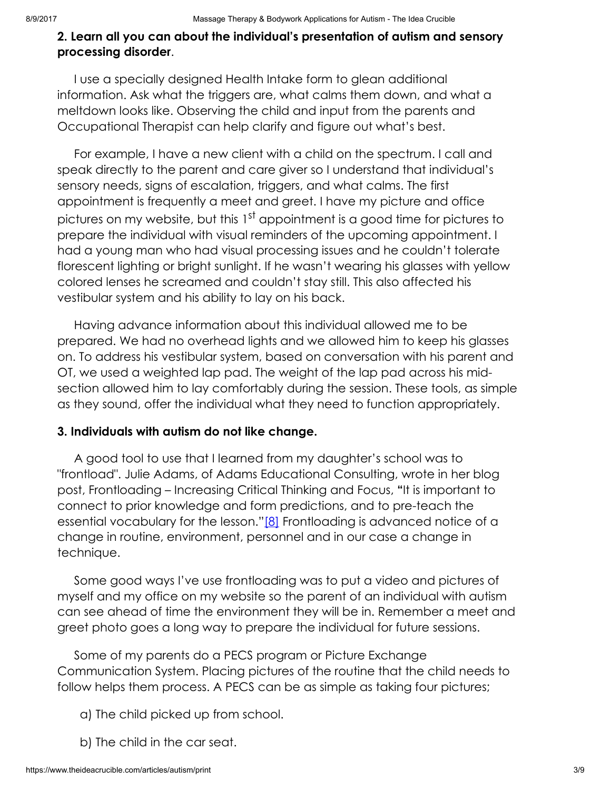#### 2. Learn all you can about the individual's presentation of autism and sensory processing disorder.

I use a specially designed Health Intake form to glean additional information. Ask what the triggers are, what calms them down, and what a meltdown looks like. Observing the child and input from the parents and Occupational Therapist can help clarify and figure out what's best.

For example, I have a new client with a child on the spectrum. I call and speak directly to the parent and care giver so I understand that individual's sensory needs, signs of escalation, triggers, and what calms. The first appointment is frequently a meet and greet. I have my picture and office pictures on my website, but this 1<sup>st</sup> appointment is a good time for pictures to prepare the individual with visual reminders of the upcoming appointment. I had a young man who had visual processing issues and he couldn't tolerate florescent lighting or bright sunlight. If he wasn't wearing his glasses with yellow colored lenses he screamed and couldn't stay still. This also affected his vestibular system and his ability to lay on his back.

Having advance information about this individual allowed me to be prepared. We had no overhead lights and we allowed him to keep his glasses on. To address his vestibular system, based on conversation with his parent and OT, we used a weighted lap pad. The weight of the lap pad across his midsection allowed him to lay comfortably during the session. These tools, as simple as they sound, offer the individual what they need to function appropriately.

#### 3. Individuals with autism do not like change.

<span id="page-2-0"></span>A good tool to use that I learned from my daughter's school was to "frontload". Julie Adams, of Adams Educational Consulting, wrote in her blog post, Frontloading – Increasing Critical Thinking and Focus, "It is important to connect to prior knowledge and form predictions, and to pre-teach the essential vocabulary for the lesson."[\[8\]](#page-7-7) Frontloading is advanced notice of a change in routine, environment, personnel and in our case a change in technique.

Some good ways I've use frontloading was to put a video and pictures of myself and my office on my website so the parent of an individual with autism can see ahead of time the environment they will be in. Remember a meet and greet photo goes a long way to prepare the individual for future sessions.

Some of my parents do a PECS program or Picture Exchange Communication System. Placing pictures of the routine that the child needs to follow helps them process. A PECS can be as simple as taking four pictures;

- a) The child picked up from school.
- b) The child in the car seat.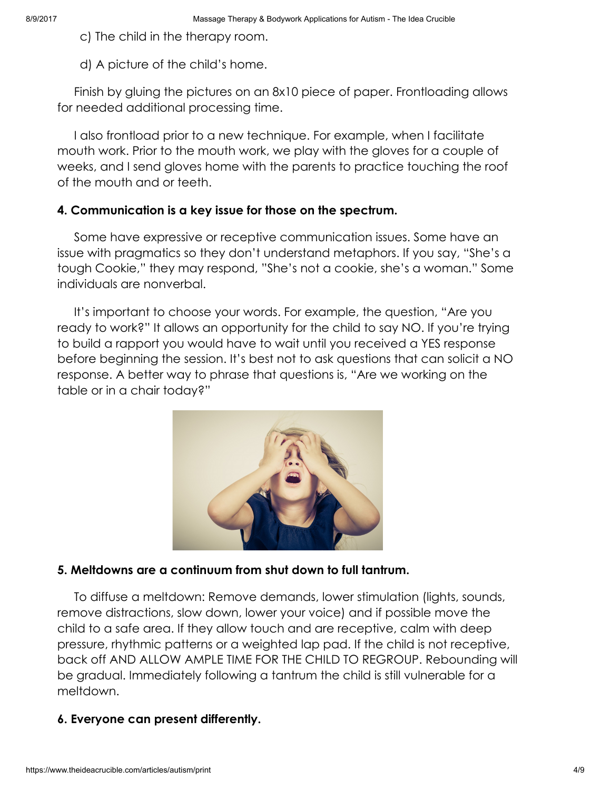c) The child in the therapy room.

d) A picture of the child's home.

Finish by gluing the pictures on an 8x10 piece of paper. Frontloading allows for needed additional processing time.

I also frontload prior to a new technique. For example, when I facilitate mouth work. Prior to the mouth work, we play with the gloves for a couple of weeks, and I send gloves home with the parents to practice touching the roof of the mouth and or teeth.

#### 4. Communication is a key issue for those on the spectrum.

Some have expressive or receptive communication issues. Some have an issue with pragmatics so they don't understand metaphors. If you say, "She's a tough Cookie," they may respond, "She's not a cookie, she's a woman." Some individuals are nonverbal.

It's important to choose your words. For example, the question, "Are you ready to work?" It allows an opportunity for the child to say NO. If you're trying to build a rapport you would have to wait until you received a YES response before beginning the session. It's best not to ask questions that can solicit a NO response. A better way to phrase that questions is, "Are we working on the table or in a chair today?"



## 5. Meltdowns are a continuum from shut down to full tantrum.

To diffuse a meltdown: Remove demands, lower stimulation (lights, sounds, remove distractions, slow down, lower your voice) and if possible move the child to a safe area. If they allow touch and are receptive, calm with deep pressure, rhythmic patterns or a weighted lap pad. If the child is not receptive, back off AND ALLOW AMPLE TIME FOR THE CHILD TO REGROUP. Rebounding will be gradual. Immediately following a tantrum the child is still vulnerable for a meltdown.

## 6. Everyone can present differently.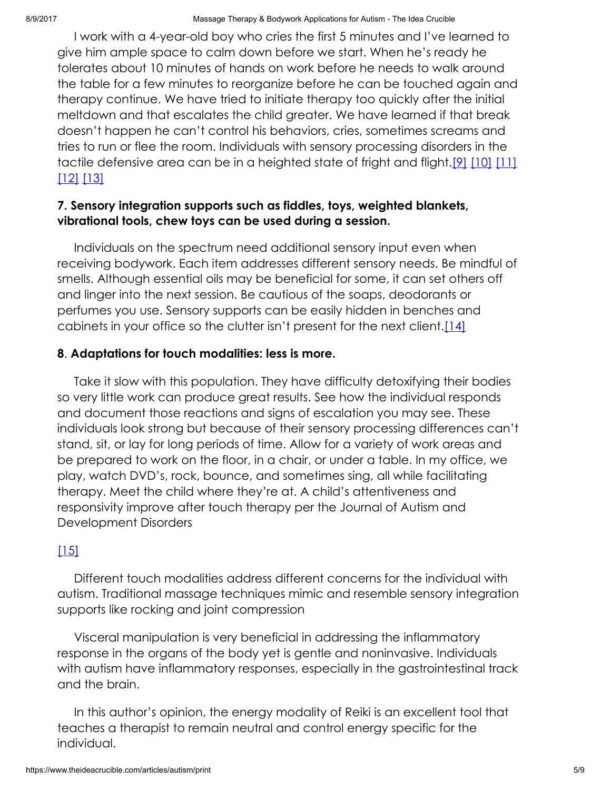I work with a 4-year-old boy who cries the first 5 minutes and I've learned to give him ample space to calm down before we start. When he's ready he tolerates about 10 minutes of hands on work before he needs to walk around the table for a few minutes to reorganize before he can be touched again and therapy continue. We have tried to initiate therapy too quickly after the initial meltdown and that escalates the child greater. We have learned if that break doesn't happen he can't control his behaviors, cries, sometimes screams and tries to run or flee the room. Individuals with sensory processing disorders in the tactile defensive area can be in a heighted state of fright and flight.<sup>[\[9\]](#page-7-8)</sup> [\[10\]](#page-7-9) [\[11\]](#page-7-10) [\[12\]](#page-8-0) [\[13\]](#page-8-1)

### <span id="page-4-4"></span><span id="page-4-3"></span><span id="page-4-2"></span><span id="page-4-1"></span><span id="page-4-0"></span>7. Sensory integration supports such as fiddles, toys, weighted blankets, vibrational tools, chew toys can be used during a session.

Individuals on the spectrum need additional sensory input even when receiving bodywork. Each item addresses different sensory needs. Be mindful of smells. Although essential oils may be beneficial for some, it can set others off and linger into the next session. Be cautious of the soaps, deodorants or perfumes you use. Sensory supports can be easily hidden in benches and cabinets in your office so the clutter isn't present for the next client. [14]

#### <span id="page-4-5"></span>8. Adaptations for touch modalities: less is more.

Take it slow with this population. They have difficulty detoxifying their bodies so very little work can produce great results. See how the individual responds and document those reactions and signs of escalation you may see. These individuals look strong but because of their sensory processing differences can't stand, sit, or lay for long periods of time. Allow for a variety of work areas and be prepared to work on the floor, in a chair, or under a table. In my office, we play, watch DVD's, rock, bounce, and sometimes sing, all while facilitating therapy. Meet the child where they're at. A child's attentiveness and responsivity improve after touch therapy per the Journal of Autism and Development Disorders

## <span id="page-4-6"></span>[\[15\]](#page-8-3)

Different touch modalities address different concerns for the individual with autism. Traditional massage techniques mimic and resemble sensory integration supports like rocking and joint compression

Visceral manipulation is very beneficial in addressing the inflammatory response in the organs of the body yet is gentle and noninvasive. Individuals with autism have inflammatory responses, especially in the gastrointestinal track and the brain.

In this author's opinion, the energy modality of Reiki is an excellent tool that teaches a therapist to remain neutral and control energy specific for the individual.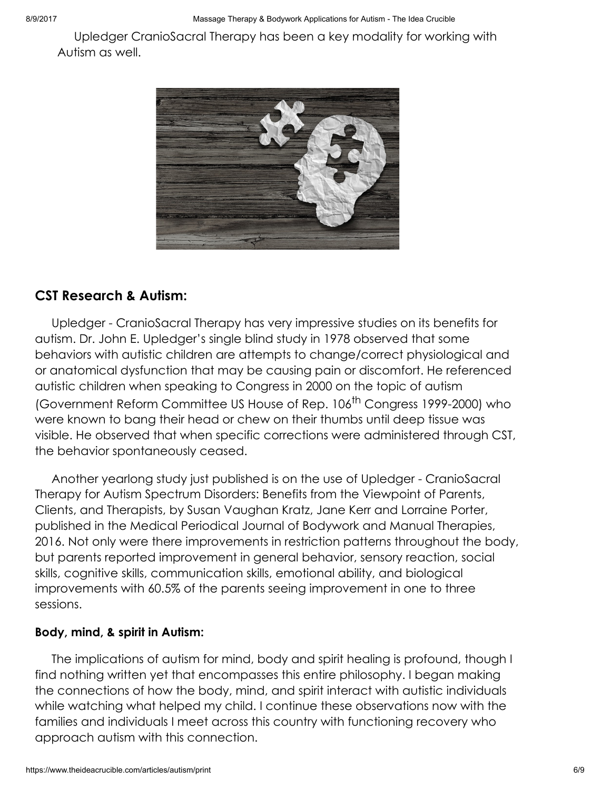Upledger CranioSacral Therapy has been a key modality for working with Autism as well.



# CST Research & Autism:

Upledger - CranioSacral Therapy has very impressive studies on its benefits for autism. Dr. John E. Upledger's single blind study in 1978 observed that some behaviors with autistic children are attempts to change/correct physiological and or anatomical dysfunction that may be causing pain or discomfort. He referenced autistic children when speaking to Congress in 2000 on the topic of autism (Government Reform Committee US House of Rep. 106<sup>th</sup> Congress 1999-2000) who were known to bang their head or chew on their thumbs until deep tissue was visible. He observed that when specific corrections were administered through CST, the behavior spontaneously ceased.

Another yearlong study just published is on the use of Upledger - CranioSacral Therapy for Autism Spectrum Disorders: Benefits from the Viewpoint of Parents, Clients, and Therapists, by Susan Vaughan Kratz, Jane Kerr and Lorraine Porter, published in the Medical Periodical Journal of Bodywork and Manual Therapies, 2016. Not only were there improvements in restriction patterns throughout the body, but parents reported improvement in general behavior, sensory reaction, social skills, cognitive skills, communication skills, emotional ability, and biological improvements with 60.5% of the parents seeing improvement in one to three sessions.

#### Body, mind, & spirit in Autism:

The implications of autism for mind, body and spirit healing is profound, though I find nothing written yet that encompasses this entire philosophy. I began making the connections of how the body, mind, and spirit interact with autistic individuals while watching what helped my child. I continue these observations now with the families and individuals I meet across this country with functioning recovery who approach autism with this connection.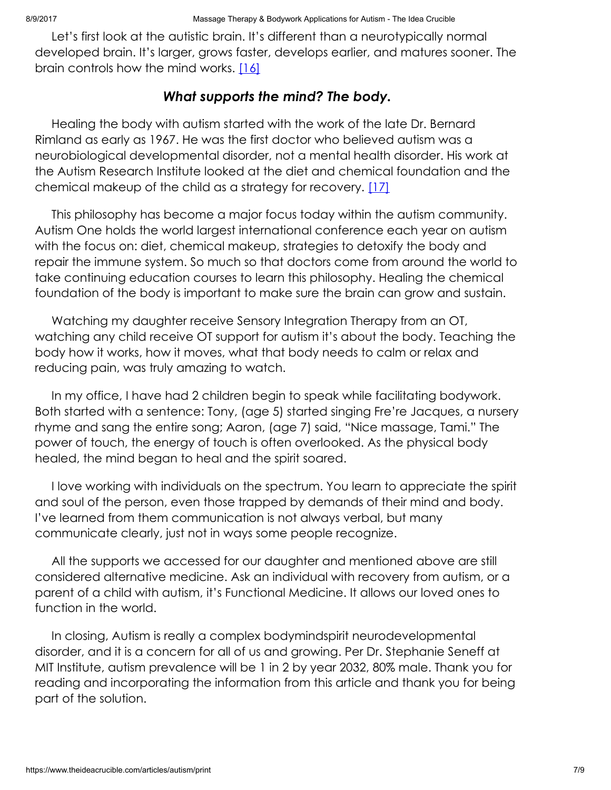Let's first look at the autistic brain. It's different than a neurotypically normal developed brain. It's larger, grows faster, develops earlier, and matures sooner. The brain controls how the mind works. [\[16\]](#page-8-4)

# <span id="page-6-1"></span><span id="page-6-0"></span>What supports the mind? The body.

Healing the body with autism started with the work of the late Dr. Bernard Rimland as early as 1967. He was the first doctor who believed autism was a neurobiological developmental disorder, not a mental health disorder. His work at the Autism Research Institute looked at the diet and chemical foundation and the chemical makeup of the child as a strategy for recovery. [\[17\]](#page-8-5)

This philosophy has become a major focus today within the autism community. Autism One holds the world largest international conference each year on autism with the focus on: diet, chemical makeup, strategies to detoxify the body and repair the immune system. So much so that doctors come from around the world to take continuing education courses to learn this philosophy. Healing the chemical foundation of the body is important to make sure the brain can grow and sustain.

Watching my daughter receive Sensory Integration Therapy from an OT, watching any child receive OT support for autism it's about the body. Teaching the body how it works, how it moves, what that body needs to calm or relax and reducing pain, was truly amazing to watch.

In my office, I have had 2 children begin to speak while facilitating bodywork. Both started with a sentence: Tony, (age 5) started singing Fre're Jacques, a nursery rhyme and sang the entire song; Aaron, (age 7) said, "Nice massage, Tami." The power of touch, the energy of touch is often overlooked. As the physical body healed, the mind began to heal and the spirit soared.

I love working with individuals on the spectrum. You learn to appreciate the spirit and soul of the person, even those trapped by demands of their mind and body. I've learned from them communication is not always verbal, but many communicate clearly, just not in ways some people recognize.

All the supports we accessed for our daughter and mentioned above are still considered alternative medicine. Ask an individual with recovery from autism, or a parent of a child with autism, it's Functional Medicine. It allows our loved ones to function in the world.

In closing, Autism is really a complex bodymindspirit neurodevelopmental disorder, and it is a concern for all of us and growing. Per Dr. Stephanie Seneff at MIT Institute, autism prevalence will be 1 in 2 by year 2032, 80% male. Thank you for reading and incorporating the information from this article and thank you for being part of the solution.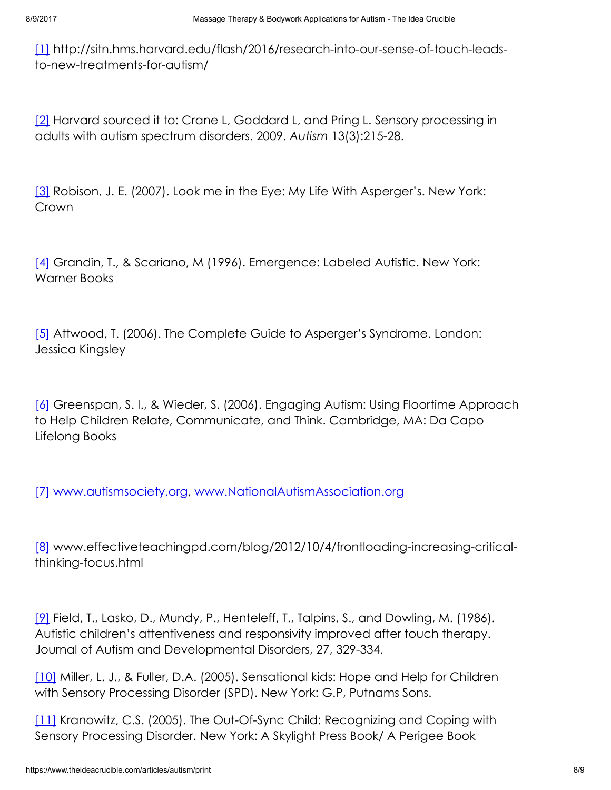<span id="page-7-0"></span>[\[1\]](#page-1-0) http://sitn.hms.harvard.edu/flash/2016/research-into-our-sense-of-touch-leadsto-new-treatments-for-autism/

<span id="page-7-1"></span>[\[2\]](#page-1-1) Harvard sourced it to: Crane L, Goddard L, and Pring L. Sensory processing in adults with autism spectrum disorders. 2009. Autism 13(3):215-28.

<span id="page-7-2"></span>[\[3\]](#page-1-2) Robison, J. E. (2007). Look me in the Eye: My Life With Asperger's. New York: Crown

<span id="page-7-3"></span>[\[4\]](#page-1-3) Grandin, T., & Scariano, M (1996). Emergence: Labeled Autistic. New York: Warner Books

<span id="page-7-4"></span>[\[5\]](#page-1-4) Attwood, T. (2006). The Complete Guide to Asperger's Syndrome. London: Jessica Kingsley

<span id="page-7-5"></span>[\[6\]](#page-1-5) Greenspan, S. I., & Wieder, S. (2006). Engaging Autism: Using Floortime Approach to Help Children Relate, Communicate, and Think. Cambridge, MA: Da Capo Lifelong Books

<span id="page-7-6"></span>[\[7\]](#page-1-6) [www.autismsociety.org](http://www.autismsociety.org/), [www.NationalAutismAssociation.org](http://www.nationalautismassociation.org/)

<span id="page-7-7"></span>[\[8\]](#page-2-0) www.effectiveteachingpd.com/blog/2012/10/4/frontloading-increasing-criticalthinking-focus.html

<span id="page-7-8"></span>[\[9\]](#page-4-0) Field, T., Lasko, D., Mundy, P., Henteleff, T., Talpins, S., and Dowling, M. (1986). Autistic children's attentiveness and responsivity improved after touch therapy. Journal of Autism and Developmental Disorders, 27, 329-334.

<span id="page-7-9"></span>[\[10\]](#page-4-1) Miller, L. J., & Fuller, D.A. (2005). Sensational kids: Hope and Help for Children with Sensory Processing Disorder (SPD). New York: G.P, Putnams Sons.

<span id="page-7-10"></span>[\[11\]](#page-4-2) Kranowitz, C.S. (2005). The Out-Of-Sync Child: Recognizing and Coping with Sensory Processing Disorder. New York: A Skylight Press Book/ A Perigee Book